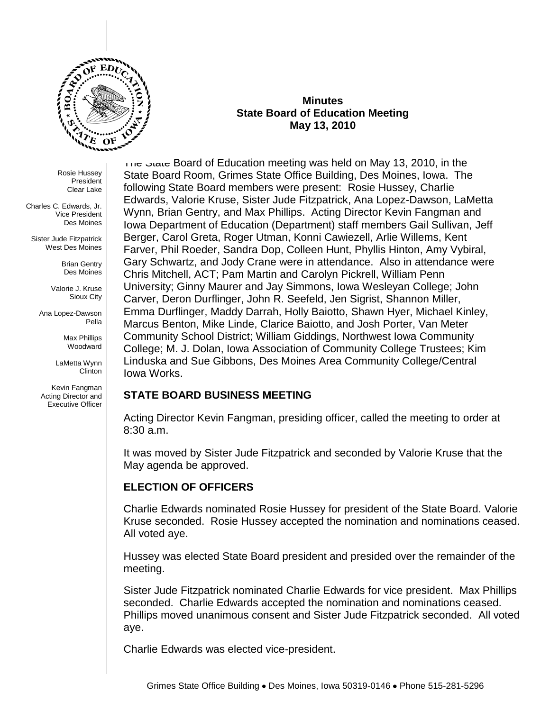

Rosie Hussey President Clear Lake

Charles C. Edwards, Jr. Vice President Des Moines

Sister Jude Fitzpatrick West Des Moines

> Brian Gentry Des Moines

Valorie J. Kruse Sioux City

Ana Lopez-Dawson Pella

> Max Phillips Woodward

LaMetta Wynn Clinton

Kevin Fangman Acting Director and Executive Officer

#### **Minutes State Board of Education Meeting May 13, 2010**

The State Board of Education meeting was held on May 13, 2010, in the State Board Room, Grimes State Office Building, Des Moines, Iowa. The following State Board members were present: Rosie Hussey, Charlie Edwards, Valorie Kruse, Sister Jude Fitzpatrick, Ana Lopez-Dawson, LaMetta Wynn, Brian Gentry, and Max Phillips. Acting Director Kevin Fangman and Iowa Department of Education (Department) staff members Gail Sullivan, Jeff Berger, Carol Greta, Roger Utman, Konni Cawiezell, Arlie Willems, Kent Farver, Phil Roeder, Sandra Dop, Colleen Hunt, Phyllis Hinton, Amy Vybiral, Gary Schwartz, and Jody Crane were in attendance. Also in attendance were Chris Mitchell, ACT; Pam Martin and Carolyn Pickrell, William Penn University; Ginny Maurer and Jay Simmons, Iowa Wesleyan College; John Carver, Deron Durflinger, John R. Seefeld, Jen Sigrist, Shannon Miller, Emma Durflinger, Maddy Darrah, Holly Baiotto, Shawn Hyer, Michael Kinley, Marcus Benton, Mike Linde, Clarice Baiotto, and Josh Porter, Van Meter Community School District; William Giddings, Northwest Iowa Community College; M. J. Dolan, Iowa Association of Community College Trustees; Kim Linduska and Sue Gibbons, Des Moines Area Community College/Central Iowa Works.

# **STATE BOARD BUSINESS MEETING**

Acting Director Kevin Fangman, presiding officer, called the meeting to order at 8:30 a.m.

It was moved by Sister Jude Fitzpatrick and seconded by Valorie Kruse that the May agenda be approved.

# **ELECTION OF OFFICERS**

Charlie Edwards nominated Rosie Hussey for president of the State Board. Valorie Kruse seconded. Rosie Hussey accepted the nomination and nominations ceased. All voted aye.

Hussey was elected State Board president and presided over the remainder of the meeting.

Sister Jude Fitzpatrick nominated Charlie Edwards for vice president. Max Phillips seconded. Charlie Edwards accepted the nomination and nominations ceased. Phillips moved unanimous consent and Sister Jude Fitzpatrick seconded. All voted aye.

Charlie Edwards was elected vice-president.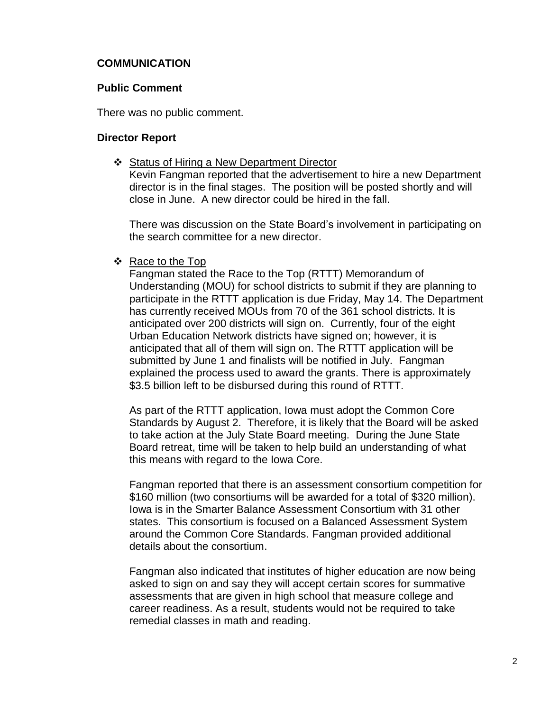# **COMMUNICATION**

#### **Public Comment**

There was no public comment.

#### **Director Report**

❖ Status of Hiring a New Department Director Kevin Fangman reported that the advertisement to hire a new Department director is in the final stages. The position will be posted shortly and will close in June. A new director could be hired in the fall.

There was discussion on the State Board's involvement in participating on the search committee for a new director.

#### ❖ Race to the Top

Fangman stated the Race to the Top (RTTT) Memorandum of Understanding (MOU) for school districts to submit if they are planning to participate in the RTTT application is due Friday, May 14. The Department has currently received MOUs from 70 of the 361 school districts. It is anticipated over 200 districts will sign on. Currently, four of the eight Urban Education Network districts have signed on; however, it is anticipated that all of them will sign on. The RTTT application will be submitted by June 1 and finalists will be notified in July. Fangman explained the process used to award the grants. There is approximately \$3.5 billion left to be disbursed during this round of RTTT.

As part of the RTTT application, Iowa must adopt the Common Core Standards by August 2. Therefore, it is likely that the Board will be asked to take action at the July State Board meeting. During the June State Board retreat, time will be taken to help build an understanding of what this means with regard to the Iowa Core.

Fangman reported that there is an assessment consortium competition for \$160 million (two consortiums will be awarded for a total of \$320 million). Iowa is in the Smarter Balance Assessment Consortium with 31 other states. This consortium is focused on a Balanced Assessment System around the Common Core Standards. Fangman provided additional details about the consortium.

Fangman also indicated that institutes of higher education are now being asked to sign on and say they will accept certain scores for summative assessments that are given in high school that measure college and career readiness. As a result, students would not be required to take remedial classes in math and reading.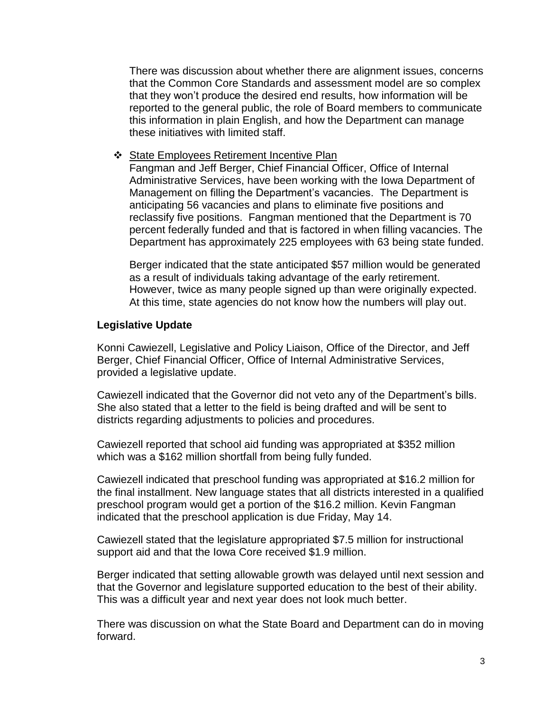There was discussion about whether there are alignment issues, concerns that the Common Core Standards and assessment model are so complex that they won't produce the desired end results, how information will be reported to the general public, the role of Board members to communicate this information in plain English, and how the Department can manage these initiatives with limited staff.

❖ State Employees Retirement Incentive Plan

Fangman and Jeff Berger, Chief Financial Officer, Office of Internal Administrative Services, have been working with the Iowa Department of Management on filling the Department's vacancies. The Department is anticipating 56 vacancies and plans to eliminate five positions and reclassify five positions. Fangman mentioned that the Department is 70 percent federally funded and that is factored in when filling vacancies. The Department has approximately 225 employees with 63 being state funded.

Berger indicated that the state anticipated \$57 million would be generated as a result of individuals taking advantage of the early retirement. However, twice as many people signed up than were originally expected. At this time, state agencies do not know how the numbers will play out.

#### **Legislative Update**

Konni Cawiezell, Legislative and Policy Liaison, Office of the Director, and Jeff Berger, Chief Financial Officer, Office of Internal Administrative Services, provided a legislative update.

Cawiezell indicated that the Governor did not veto any of the Department's bills. She also stated that a letter to the field is being drafted and will be sent to districts regarding adjustments to policies and procedures.

Cawiezell reported that school aid funding was appropriated at \$352 million which was a \$162 million shortfall from being fully funded.

Cawiezell indicated that preschool funding was appropriated at \$16.2 million for the final installment. New language states that all districts interested in a qualified preschool program would get a portion of the \$16.2 million. Kevin Fangman indicated that the preschool application is due Friday, May 14.

Cawiezell stated that the legislature appropriated \$7.5 million for instructional support aid and that the Iowa Core received \$1.9 million.

Berger indicated that setting allowable growth was delayed until next session and that the Governor and legislature supported education to the best of their ability. This was a difficult year and next year does not look much better.

There was discussion on what the State Board and Department can do in moving forward.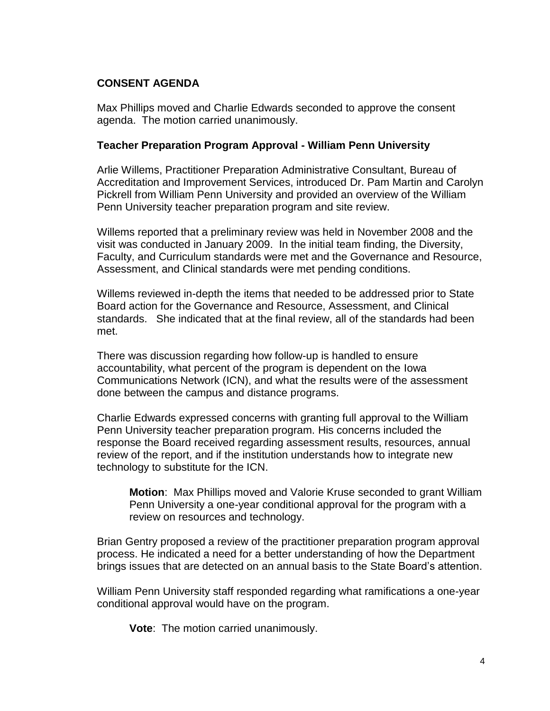# **CONSENT AGENDA**

Max Phillips moved and Charlie Edwards seconded to approve the consent agenda. The motion carried unanimously.

#### **Teacher Preparation Program Approval - William Penn University**

Arlie Willems, Practitioner Preparation Administrative Consultant, Bureau of Accreditation and Improvement Services, introduced Dr. Pam Martin and Carolyn Pickrell from William Penn University and provided an overview of the William Penn University teacher preparation program and site review.

Willems reported that a preliminary review was held in November 2008 and the visit was conducted in January 2009. In the initial team finding, the Diversity, Faculty, and Curriculum standards were met and the Governance and Resource, Assessment, and Clinical standards were met pending conditions.

Willems reviewed in-depth the items that needed to be addressed prior to State Board action for the Governance and Resource, Assessment, and Clinical standards. She indicated that at the final review, all of the standards had been met.

There was discussion regarding how follow-up is handled to ensure accountability, what percent of the program is dependent on the Iowa Communications Network (ICN), and what the results were of the assessment done between the campus and distance programs.

Charlie Edwards expressed concerns with granting full approval to the William Penn University teacher preparation program. His concerns included the response the Board received regarding assessment results, resources, annual review of the report, and if the institution understands how to integrate new technology to substitute for the ICN.

**Motion**: Max Phillips moved and Valorie Kruse seconded to grant William Penn University a one-year conditional approval for the program with a review on resources and technology.

Brian Gentry proposed a review of the practitioner preparation program approval process. He indicated a need for a better understanding of how the Department brings issues that are detected on an annual basis to the State Board's attention.

William Penn University staff responded regarding what ramifications a one-year conditional approval would have on the program.

**Vote**: The motion carried unanimously.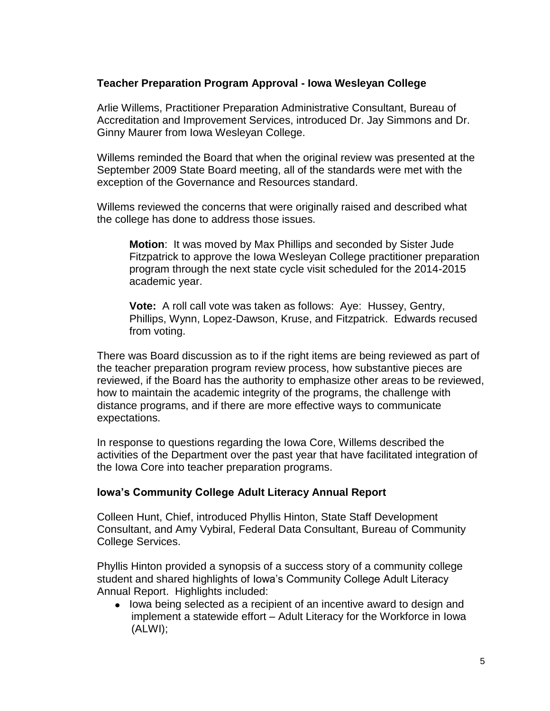### **Teacher Preparation Program Approval - Iowa Wesleyan College**

Arlie Willems, Practitioner Preparation Administrative Consultant, Bureau of Accreditation and Improvement Services, introduced Dr. Jay Simmons and Dr. Ginny Maurer from Iowa Wesleyan College.

Willems reminded the Board that when the original review was presented at the September 2009 State Board meeting, all of the standards were met with the exception of the Governance and Resources standard.

Willems reviewed the concerns that were originally raised and described what the college has done to address those issues.

**Motion**: It was moved by Max Phillips and seconded by Sister Jude Fitzpatrick to approve the Iowa Wesleyan College practitioner preparation program through the next state cycle visit scheduled for the 2014-2015 academic year.

**Vote:** A roll call vote was taken as follows: Aye: Hussey, Gentry, Phillips, Wynn, Lopez-Dawson, Kruse, and Fitzpatrick. Edwards recused from voting.

There was Board discussion as to if the right items are being reviewed as part of the teacher preparation program review process, how substantive pieces are reviewed, if the Board has the authority to emphasize other areas to be reviewed, how to maintain the academic integrity of the programs, the challenge with distance programs, and if there are more effective ways to communicate expectations.

In response to questions regarding the Iowa Core, Willems described the activities of the Department over the past year that have facilitated integration of the Iowa Core into teacher preparation programs.

#### **Iowa's Community College Adult Literacy Annual Report**

Colleen Hunt, Chief, introduced Phyllis Hinton, State Staff Development Consultant, and Amy Vybiral, Federal Data Consultant, Bureau of Community College Services.

Phyllis Hinton provided a synopsis of a success story of a community college student and shared highlights of Iowa's Community College Adult Literacy Annual Report. Highlights included:

• lowa being selected as a recipient of an incentive award to design and implement a statewide effort – Adult Literacy for the Workforce in Iowa (ALWI);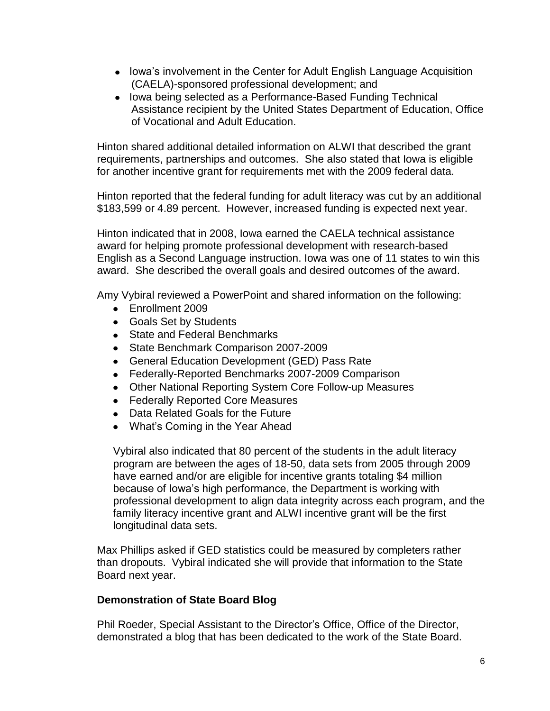- Iowa's involvement in the Center for Adult English Language Acquisition (CAELA)-sponsored professional development; and
- Iowa being selected as a Performance-Based Funding Technical Assistance recipient by the United States Department of Education, Office of Vocational and Adult Education.

Hinton shared additional detailed information on ALWI that described the grant requirements, partnerships and outcomes. She also stated that Iowa is eligible for another incentive grant for requirements met with the 2009 federal data.

Hinton reported that the federal funding for adult literacy was cut by an additional \$183,599 or 4.89 percent. However, increased funding is expected next year.

Hinton indicated that in 2008, Iowa earned the CAELA technical assistance award for helping promote professional development with research-based English as a Second Language instruction. Iowa was one of 11 states to win this award. She described the overall goals and desired outcomes of the award.

Amy Vybiral reviewed a PowerPoint and shared information on the following:

- Enrollment 2009
- Goals Set by Students
- State and Federal Benchmarks
- State Benchmark Comparison 2007-2009
- General Education Development (GED) Pass Rate
- Federally-Reported Benchmarks 2007-2009 Comparison
- Other National Reporting System Core Follow-up Measures
- Federally Reported Core Measures
- Data Related Goals for the Future
- What's Coming in the Year Ahead

Vybiral also indicated that 80 percent of the students in the adult literacy program are between the ages of 18-50, data sets from 2005 through 2009 have earned and/or are eligible for incentive grants totaling \$4 million because of Iowa's high performance, the Department is working with professional development to align data integrity across each program, and the family literacy incentive grant and ALWI incentive grant will be the first longitudinal data sets.

Max Phillips asked if GED statistics could be measured by completers rather than dropouts. Vybiral indicated she will provide that information to the State Board next year.

#### **Demonstration of State Board Blog**

Phil Roeder, Special Assistant to the Director's Office, Office of the Director, demonstrated a blog that has been dedicated to the work of the State Board.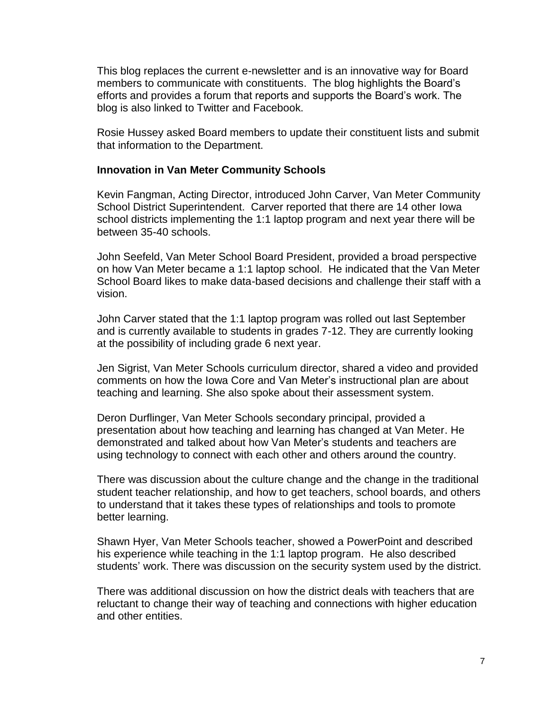This blog replaces the current e-newsletter and is an innovative way for Board members to communicate with constituents. The blog highlights the Board's efforts and provides a forum that reports and supports the Board's work. The blog is also linked to Twitter and Facebook.

Rosie Hussey asked Board members to update their constituent lists and submit that information to the Department.

#### **Innovation in Van Meter Community Schools**

Kevin Fangman, Acting Director, introduced John Carver, Van Meter Community School District Superintendent. Carver reported that there are 14 other Iowa school districts implementing the 1:1 laptop program and next year there will be between 35-40 schools.

John Seefeld, Van Meter School Board President, provided a broad perspective on how Van Meter became a 1:1 laptop school. He indicated that the Van Meter School Board likes to make data-based decisions and challenge their staff with a vision.

John Carver stated that the 1:1 laptop program was rolled out last September and is currently available to students in grades 7-12. They are currently looking at the possibility of including grade 6 next year.

Jen Sigrist, Van Meter Schools curriculum director, shared a video and provided comments on how the Iowa Core and Van Meter's instructional plan are about teaching and learning. She also spoke about their assessment system.

Deron Durflinger, Van Meter Schools secondary principal, provided a presentation about how teaching and learning has changed at Van Meter. He demonstrated and talked about how Van Meter's students and teachers are using technology to connect with each other and others around the country.

There was discussion about the culture change and the change in the traditional student teacher relationship, and how to get teachers, school boards, and others to understand that it takes these types of relationships and tools to promote better learning.

Shawn Hyer, Van Meter Schools teacher, showed a PowerPoint and described his experience while teaching in the 1:1 laptop program. He also described students' work. There was discussion on the security system used by the district.

There was additional discussion on how the district deals with teachers that are reluctant to change their way of teaching and connections with higher education and other entities.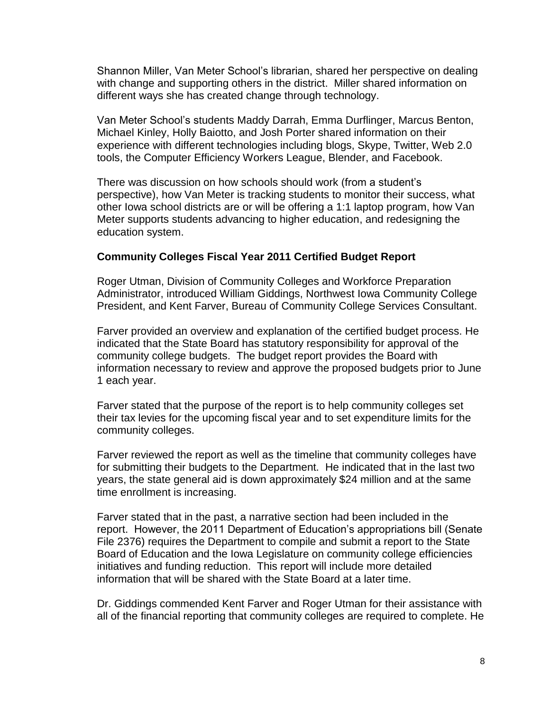Shannon Miller, Van Meter School's librarian, shared her perspective on dealing with change and supporting others in the district. Miller shared information on different ways she has created change through technology.

Van Meter School's students Maddy Darrah, Emma Durflinger, Marcus Benton, Michael Kinley, Holly Baiotto, and Josh Porter shared information on their experience with different technologies including blogs, Skype, Twitter, Web 2.0 tools, the Computer Efficiency Workers League, Blender, and Facebook.

There was discussion on how schools should work (from a student's perspective), how Van Meter is tracking students to monitor their success, what other Iowa school districts are or will be offering a 1:1 laptop program, how Van Meter supports students advancing to higher education, and redesigning the education system.

#### **Community Colleges Fiscal Year 2011 Certified Budget Report**

Roger Utman, Division of Community Colleges and Workforce Preparation Administrator, introduced William Giddings, Northwest Iowa Community College President, and Kent Farver, Bureau of Community College Services Consultant.

Farver provided an overview and explanation of the certified budget process. He indicated that the State Board has statutory responsibility for approval of the community college budgets. The budget report provides the Board with information necessary to review and approve the proposed budgets prior to June 1 each year.

Farver stated that the purpose of the report is to help community colleges set their tax levies for the upcoming fiscal year and to set expenditure limits for the community colleges.

Farver reviewed the report as well as the timeline that community colleges have for submitting their budgets to the Department. He indicated that in the last two years, the state general aid is down approximately \$24 million and at the same time enrollment is increasing.

Farver stated that in the past, a narrative section had been included in the report. However, the 2011 Department of Education's appropriations bill (Senate File 2376) requires the Department to compile and submit a report to the State Board of Education and the Iowa Legislature on community college efficiencies initiatives and funding reduction. This report will include more detailed information that will be shared with the State Board at a later time.

Dr. Giddings commended Kent Farver and Roger Utman for their assistance with all of the financial reporting that community colleges are required to complete. He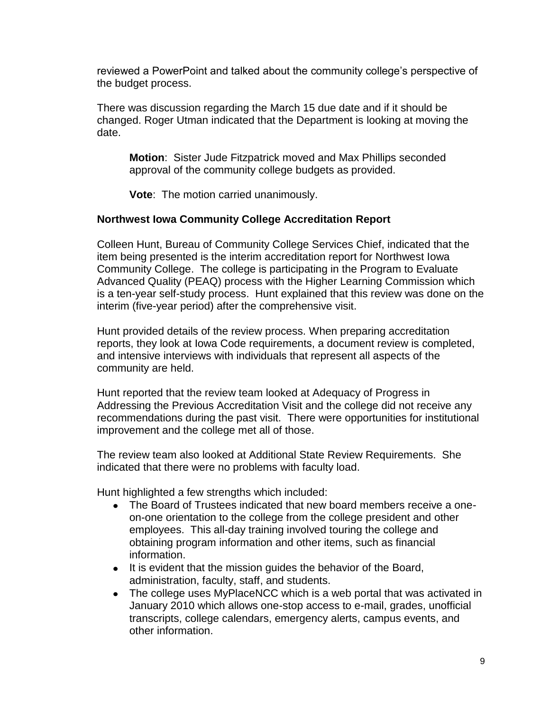reviewed a PowerPoint and talked about the community college's perspective of the budget process.

There was discussion regarding the March 15 due date and if it should be changed. Roger Utman indicated that the Department is looking at moving the date.

**Motion**: Sister Jude Fitzpatrick moved and Max Phillips seconded approval of the community college budgets as provided.

**Vote**: The motion carried unanimously.

# **Northwest Iowa Community College Accreditation Report**

Colleen Hunt, Bureau of Community College Services Chief, indicated that the item being presented is the interim accreditation report for Northwest Iowa Community College. The college is participating in the Program to Evaluate Advanced Quality (PEAQ) process with the Higher Learning Commission which is a ten-year self-study process. Hunt explained that this review was done on the interim (five-year period) after the comprehensive visit.

Hunt provided details of the review process. When preparing accreditation reports, they look at Iowa Code requirements, a document review is completed, and intensive interviews with individuals that represent all aspects of the community are held.

Hunt reported that the review team looked at Adequacy of Progress in Addressing the Previous Accreditation Visit and the college did not receive any recommendations during the past visit. There were opportunities for institutional improvement and the college met all of those.

The review team also looked at Additional State Review Requirements. She indicated that there were no problems with faculty load.

Hunt highlighted a few strengths which included:

- The Board of Trustees indicated that new board members receive a oneon-one orientation to the college from the college president and other employees. This all-day training involved touring the college and obtaining program information and other items, such as financial information.
- It is evident that the mission quides the behavior of the Board, administration, faculty, staff, and students.
- The college uses MyPlaceNCC which is a web portal that was activated in January 2010 which allows one-stop access to e-mail, grades, unofficial transcripts, college calendars, emergency alerts, campus events, and other information.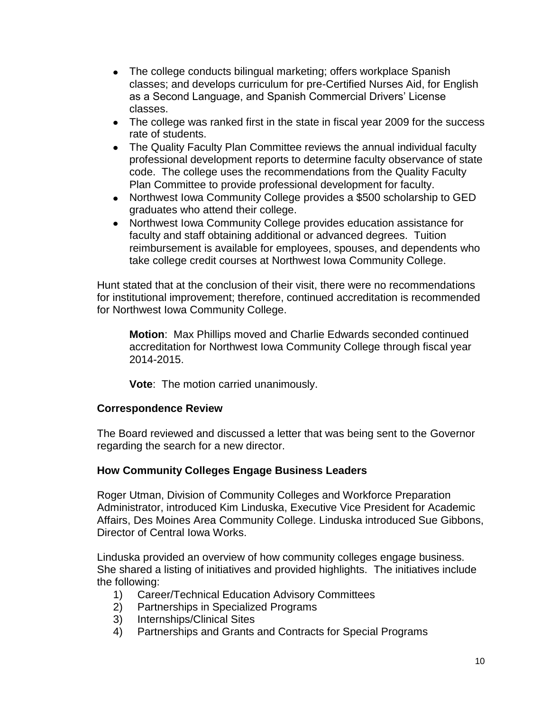- The college conducts bilingual marketing; offers workplace Spanish classes; and develops curriculum for pre-Certified Nurses Aid, for English as a Second Language, and Spanish Commercial Drivers' License classes.
- The college was ranked first in the state in fiscal year 2009 for the success rate of students.
- The Quality Faculty Plan Committee reviews the annual individual faculty professional development reports to determine faculty observance of state code. The college uses the recommendations from the Quality Faculty Plan Committee to provide professional development for faculty.
- Northwest Iowa Community College provides a \$500 scholarship to GED graduates who attend their college.
- Northwest Iowa Community College provides education assistance for faculty and staff obtaining additional or advanced degrees. Tuition reimbursement is available for employees, spouses, and dependents who take college credit courses at Northwest Iowa Community College.

Hunt stated that at the conclusion of their visit, there were no recommendations for institutional improvement; therefore, continued accreditation is recommended for Northwest Iowa Community College.

**Motion**: Max Phillips moved and Charlie Edwards seconded continued accreditation for Northwest Iowa Community College through fiscal year 2014-2015.

**Vote**: The motion carried unanimously.

# **Correspondence Review**

The Board reviewed and discussed a letter that was being sent to the Governor regarding the search for a new director.

# **How Community Colleges Engage Business Leaders**

Roger Utman, Division of Community Colleges and Workforce Preparation Administrator, introduced Kim Linduska, Executive Vice President for Academic Affairs, Des Moines Area Community College. Linduska introduced Sue Gibbons, Director of Central Iowa Works.

Linduska provided an overview of how community colleges engage business. She shared a listing of initiatives and provided highlights. The initiatives include the following:

- 1) Career/Technical Education Advisory Committees
- 2) Partnerships in Specialized Programs
- 3) Internships/Clinical Sites
- 4) Partnerships and Grants and Contracts for Special Programs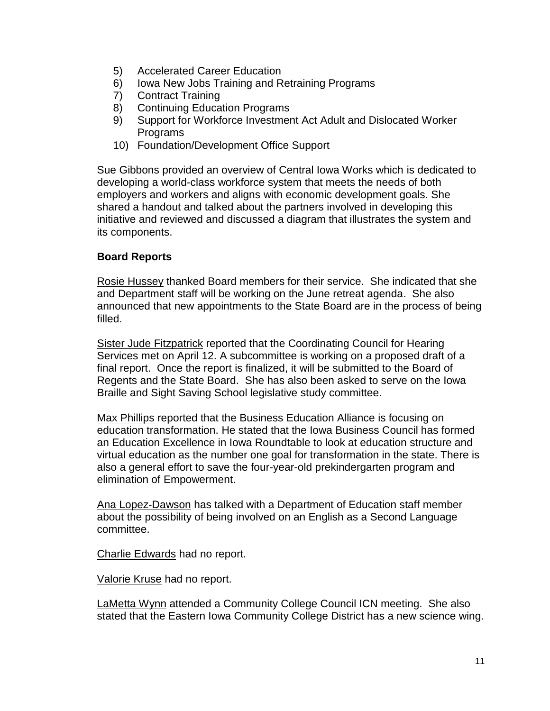- 5) Accelerated Career Education
- 6) Iowa New Jobs Training and Retraining Programs
- 7) Contract Training
- 8) Continuing Education Programs
- 9) Support for Workforce Investment Act Adult and Dislocated Worker Programs
- 10) Foundation/Development Office Support

Sue Gibbons provided an overview of Central Iowa Works which is dedicated to developing a world-class workforce system that meets the needs of both employers and workers and aligns with economic development goals. She shared a handout and talked about the partners involved in developing this initiative and reviewed and discussed a diagram that illustrates the system and its components.

# **Board Reports**

Rosie Hussey thanked Board members for their service. She indicated that she and Department staff will be working on the June retreat agenda. She also announced that new appointments to the State Board are in the process of being filled.

Sister Jude Fitzpatrick reported that the Coordinating Council for Hearing Services met on April 12. A subcommittee is working on a proposed draft of a final report. Once the report is finalized, it will be submitted to the Board of Regents and the State Board. She has also been asked to serve on the Iowa Braille and Sight Saving School legislative study committee.

Max Phillips reported that the Business Education Alliance is focusing on education transformation. He stated that the Iowa Business Council has formed an Education Excellence in Iowa Roundtable to look at education structure and virtual education as the number one goal for transformation in the state. There is also a general effort to save the four-year-old prekindergarten program and elimination of Empowerment.

Ana Lopez-Dawson has talked with a Department of Education staff member about the possibility of being involved on an English as a Second Language committee.

Charlie Edwards had no report.

Valorie Kruse had no report.

LaMetta Wynn attended a Community College Council ICN meeting. She also stated that the Eastern Iowa Community College District has a new science wing.